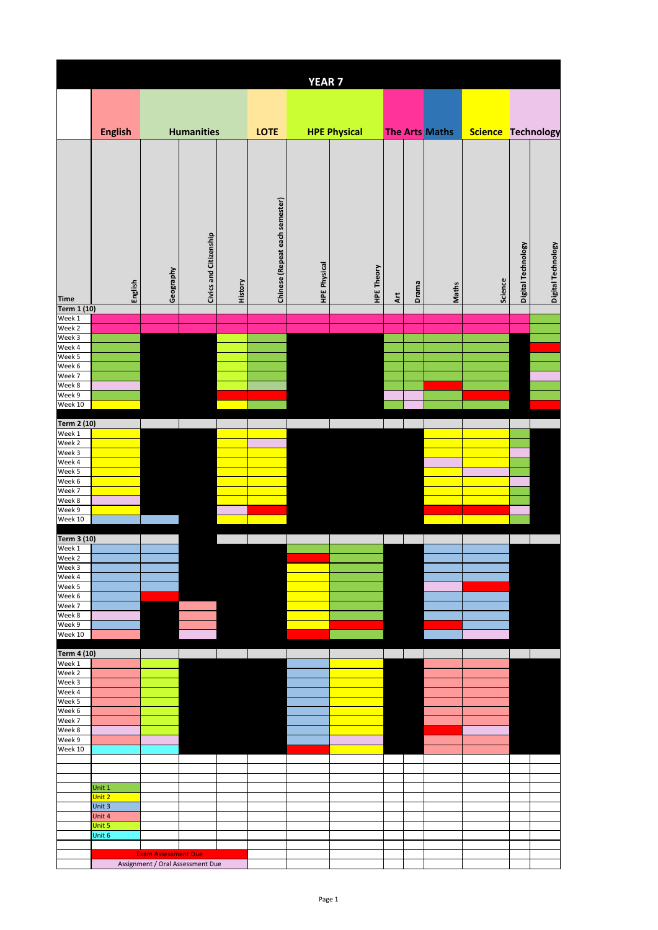|                              |                  |                            |                                  |         |                                | <b>YEAR7</b>        |                     |                        |       |                |                    |                    |                    |
|------------------------------|------------------|----------------------------|----------------------------------|---------|--------------------------------|---------------------|---------------------|------------------------|-------|----------------|--------------------|--------------------|--------------------|
|                              |                  |                            |                                  |         |                                |                     |                     |                        |       |                |                    |                    |                    |
|                              |                  |                            |                                  |         |                                |                     |                     |                        |       |                |                    |                    |                    |
|                              | <b>English</b>   |                            | <b>Humanities</b>                |         | <b>LOTE</b>                    |                     | <b>HPE Physical</b> |                        |       | The Arts Maths | Science Technology |                    |                    |
|                              |                  |                            |                                  |         |                                |                     |                     |                        |       |                |                    |                    |                    |
|                              |                  |                            |                                  |         |                                |                     |                     |                        |       |                |                    |                    |                    |
|                              |                  |                            |                                  |         |                                |                     |                     |                        |       |                |                    |                    |                    |
|                              |                  |                            |                                  |         |                                |                     |                     |                        |       |                |                    |                    |                    |
|                              |                  |                            |                                  |         |                                |                     |                     |                        |       |                |                    |                    |                    |
|                              |                  |                            |                                  |         |                                |                     |                     |                        |       |                |                    |                    |                    |
|                              |                  |                            |                                  |         |                                |                     |                     |                        |       |                |                    |                    |                    |
|                              |                  |                            |                                  |         |                                |                     |                     |                        |       |                |                    |                    |                    |
|                              |                  |                            |                                  |         |                                |                     |                     |                        |       |                |                    |                    |                    |
|                              |                  |                            |                                  |         |                                |                     |                     |                        |       |                |                    |                    |                    |
|                              | English          | Geography                  | Civics and Citizenship           | History | Chinese (Repeat each semester) | <b>HPE Physical</b> | <b>HPE Theory</b>   |                        | Drama | Maths          | Science            | Digital Technology | Digital Technology |
| <b>Time</b><br>Term 1 (10)   |                  |                            |                                  |         |                                |                     |                     | $\frac{t}{\mathbf{A}}$ |       |                |                    |                    |                    |
| Week 1                       |                  |                            |                                  |         |                                |                     |                     |                        |       |                |                    |                    |                    |
| Week 2<br>Week 3             |                  |                            |                                  |         |                                |                     |                     |                        |       |                |                    |                    |                    |
| Week 4                       |                  |                            |                                  |         |                                |                     |                     |                        |       |                |                    |                    |                    |
| Week 5<br>Week 6             |                  |                            |                                  |         |                                |                     |                     |                        |       |                |                    |                    |                    |
| Week 7                       |                  |                            |                                  |         |                                |                     |                     |                        |       |                |                    |                    |                    |
| Week 8<br>Week 9             |                  |                            |                                  |         |                                |                     |                     |                        |       |                |                    |                    |                    |
| Week 10                      |                  |                            |                                  |         |                                |                     |                     |                        |       |                |                    |                    |                    |
| Term 2 (10)                  |                  |                            |                                  |         |                                |                     |                     |                        |       |                |                    |                    |                    |
| Week 1                       |                  |                            |                                  |         |                                |                     |                     |                        |       |                |                    |                    |                    |
| Week 2<br>Week 3             |                  |                            |                                  |         |                                |                     |                     |                        |       |                |                    |                    |                    |
| Week 4                       |                  |                            |                                  |         |                                |                     |                     |                        |       |                |                    |                    |                    |
| Week 5<br>Week 6             |                  |                            |                                  |         |                                |                     |                     |                        |       |                |                    |                    |                    |
| Week 7<br>Week 8             |                  |                            |                                  |         |                                |                     |                     |                        |       |                |                    |                    |                    |
| Week 9                       |                  |                            |                                  |         |                                |                     |                     |                        |       |                |                    |                    |                    |
| Week 10                      |                  |                            |                                  |         |                                |                     |                     |                        |       |                |                    |                    |                    |
| Term 3 (10)                  |                  |                            |                                  |         |                                |                     |                     |                        |       |                |                    |                    |                    |
| Week 1<br>Week 2             |                  |                            |                                  |         |                                |                     |                     |                        |       |                |                    |                    |                    |
| Week 3                       |                  |                            |                                  |         |                                |                     |                     |                        |       |                |                    |                    |                    |
| Week 4<br>Week 5             |                  |                            |                                  |         |                                |                     |                     |                        |       |                |                    |                    |                    |
| Week 6                       |                  |                            |                                  |         |                                |                     |                     |                        |       |                |                    |                    |                    |
| Week 7<br>Week 8             |                  |                            |                                  |         |                                |                     |                     |                        |       |                |                    |                    |                    |
| Week 9<br>Week 10            |                  |                            |                                  |         |                                |                     |                     |                        |       |                |                    |                    |                    |
|                              |                  |                            |                                  |         |                                |                     |                     |                        |       |                |                    |                    |                    |
| <b>Term 4 (10)</b><br>Week 1 |                  |                            |                                  |         |                                |                     |                     |                        |       |                |                    |                    |                    |
| Week 2                       |                  |                            |                                  |         |                                |                     |                     |                        |       |                |                    |                    |                    |
| Week 3<br>Week 4             |                  |                            |                                  |         |                                |                     |                     |                        |       |                |                    |                    |                    |
| Week 5                       |                  |                            |                                  |         |                                |                     |                     |                        |       |                |                    |                    |                    |
| Week 6<br>Week 7             |                  |                            |                                  |         |                                |                     |                     |                        |       |                |                    |                    |                    |
| Week 8                       |                  |                            |                                  |         |                                |                     |                     |                        |       |                |                    |                    |                    |
| Week 9<br>Week 10            |                  |                            |                                  |         |                                |                     |                     |                        |       |                |                    |                    |                    |
|                              |                  |                            |                                  |         |                                |                     |                     |                        |       |                |                    |                    |                    |
|                              |                  |                            |                                  |         |                                |                     |                     |                        |       |                |                    |                    |                    |
|                              | Unit 1<br>Unit 2 |                            |                                  |         |                                |                     |                     |                        |       |                |                    |                    |                    |
|                              | Unit 3           |                            |                                  |         |                                |                     |                     |                        |       |                |                    |                    |                    |
|                              | Unit 4<br>Unit 5 |                            |                                  |         |                                |                     |                     |                        |       |                |                    |                    |                    |
|                              | Unit 6           |                            |                                  |         |                                |                     |                     |                        |       |                |                    |                    |                    |
|                              |                  | <b>Exam Assessment Due</b> |                                  |         |                                |                     |                     |                        |       |                |                    |                    |                    |
|                              |                  |                            | Assignment / Oral Assessment Due |         |                                |                     |                     |                        |       |                |                    |                    |                    |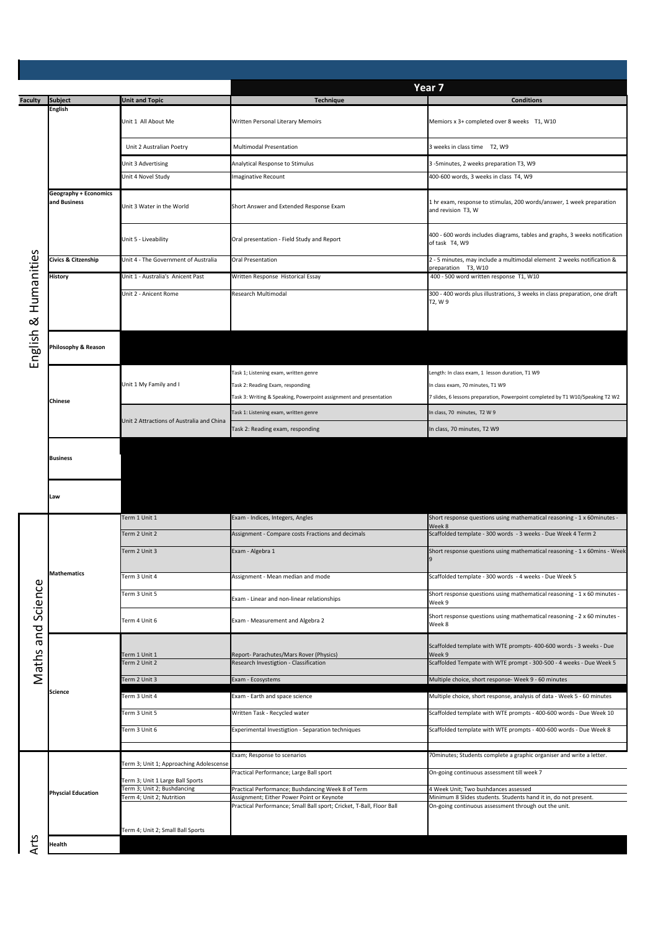|                         |                                              |                                                          |                                                                                                | Year <sub>7</sub>                                                                                       |  |  |  |
|-------------------------|----------------------------------------------|----------------------------------------------------------|------------------------------------------------------------------------------------------------|---------------------------------------------------------------------------------------------------------|--|--|--|
| <b>Faculty</b>          | <b>Subject</b><br>English                    | <b>Jnit and Topic</b>                                    | <b>Technique</b>                                                                               | <b>Conditions</b>                                                                                       |  |  |  |
|                         |                                              | Unit 1 All About Me                                      | Written Personal Literary Memoirs                                                              | Memiors x 3+ completed over 8 weeks T1, W10                                                             |  |  |  |
|                         |                                              | Unit 2 Australian Poetry                                 | <b>Multimodal Presentation</b>                                                                 | 3 weeks in class time T2, W9                                                                            |  |  |  |
|                         |                                              | Unit 3 Advertising                                       | Analytical Response to Stimulus                                                                | 3 -5minutes, 2 weeks preparation T3, W9                                                                 |  |  |  |
|                         |                                              | Unit 4 Novel Study                                       | <b>Imaginative Recount</b>                                                                     | 400-600 words, 3 weeks in class T4, W9                                                                  |  |  |  |
|                         | <b>Geography + Economics</b><br>and Business | Unit 3 Water in the World                                | Short Answer and Extended Response Exam                                                        | 1 hr exam, response to stimulas, 200 words/answer, 1 week preparation<br>and revision T3, W             |  |  |  |
|                         |                                              | Unit 5 - Liveability                                     | Oral presentation - Field Study and Report                                                     | 400 - 600 words includes diagrams, tables and graphs, 3 weeks notification<br>of task T4, W9            |  |  |  |
|                         | Civics & Citzenship                          | Unit 4 - The Government of Australia                     | <b>Oral Presentation</b>                                                                       | 2 - 5 minutes, may include a multimodal element 2 weeks notification &<br>preparation T3, W10           |  |  |  |
| Humanities<br>English & | History                                      | Unit 1 - Australia's Anicent Past                        | Written Response Historical Essay                                                              | 400 - 500 word written response T1, W10                                                                 |  |  |  |
|                         |                                              | Unit 2 - Anicent Rome                                    | <b>Research Multimodal</b>                                                                     | 300 - 400 words plus illustrations, 3 weeks in class preparation, one draft                             |  |  |  |
|                         |                                              |                                                          |                                                                                                | T2, W 9                                                                                                 |  |  |  |
|                         | Philosophy & Reason                          |                                                          |                                                                                                |                                                                                                         |  |  |  |
|                         |                                              |                                                          | Task 1; Listening exam, written genre                                                          | Length: In class exam, 1 lesson duration, T1 W9                                                         |  |  |  |
|                         |                                              | Unit 1 My Family and I                                   | Task 2: Reading Exam, responding                                                               | In class exam, 70 minutes, T1 W9                                                                        |  |  |  |
|                         | Chinese                                      |                                                          | Task 3: Writing & Speaking, Powerpoint assignment and presentation                             | 7 slides, 6 lessons preparation, Powerpoint completed by T1 W10/Speaking T2 W2                          |  |  |  |
|                         |                                              |                                                          | Task 1: Listening exam, written genre                                                          | In class, 70 minutes, T2 W 9                                                                            |  |  |  |
|                         |                                              | Unit 2 Attractions of Australia and China                | Task 2: Reading exam, responding                                                               | In class, 70 minutes, T2 W9                                                                             |  |  |  |
|                         | <b>Business</b><br>Law                       |                                                          |                                                                                                |                                                                                                         |  |  |  |
|                         |                                              | Term 1 Unit 1                                            | Exam - Indices, Integers, Angles                                                               | Short response questions using mathematical reasoning - 1 x 60minutes -                                 |  |  |  |
|                         | <b>Mathematics</b>                           | Term 2 Unit 2                                            | Assignment - Compare costs Fractions and decimals                                              | Week 8<br>Scaffolded template - 300 words - 3 weeks - Due Week 4 Term 2                                 |  |  |  |
|                         |                                              | Term 2 Unit 3                                            | Exam - Algebra 1                                                                               | Short response questions using mathematical reasoning - 1 x 60mins - Week                               |  |  |  |
| Maths and Science       |                                              |                                                          |                                                                                                | 9                                                                                                       |  |  |  |
|                         |                                              | Term 3 Unit 4                                            | Assignment - Mean median and mode                                                              | Scaffolded template - 300 words - 4 weeks - Due Week 5                                                  |  |  |  |
|                         |                                              | Term 3 Unit 5                                            | Exam - Linear and non-linear relationships                                                     | Short response questions using mathematical reasoning - 1 x 60 minutes -<br>Week 9                      |  |  |  |
|                         |                                              | Term 4 Unit 6                                            | Exam - Measurement and Algebra 2                                                               | Short response questions using mathematical reasoning - 2 x 60 minutes -<br>Week 8                      |  |  |  |
|                         | <b>Science</b>                               | Ferm 1 Unit 1                                            | Report- Parachutes/Mars Rover (Physics)                                                        | Scaffolded template with WTE prompts- 400-600 words - 3 weeks - Due<br>Week 9                           |  |  |  |
|                         |                                              | Ferm 2 Unit 2                                            | Research Investigtion - Classification                                                         | Scaffolded Tempate with WTE prompt - 300-500 - 4 weeks - Due Week 5                                     |  |  |  |
|                         |                                              | Term 2 Unit 3                                            | Exam - Ecosystems                                                                              | Multiple choice, short response- Week 9 - 60 minutes                                                    |  |  |  |
|                         |                                              | Ferm 3 Unit 4                                            | Exam - Earth and space science                                                                 | Multiple choice, short response, analysis of data - Week 5 - 60 minutes                                 |  |  |  |
|                         |                                              | Term 3 Unit 5                                            | Written Task - Recycled water                                                                  | Scaffolded template with WTE prompts - 400-600 words - Due Week 10                                      |  |  |  |
|                         |                                              | Term 3 Unit 6                                            | Experimental Investigtion - Separation techniques                                              | Scaffolded template with WTE prompts - 400-600 words - Due Week 8                                       |  |  |  |
|                         |                                              |                                                          | Exam; Response to scenarios                                                                    | 70 minutes; Students complete a graphic organiser and write a letter.                                   |  |  |  |
|                         |                                              | Term 3; Unit 1; Approaching Adolescense                  |                                                                                                |                                                                                                         |  |  |  |
|                         | <b>Physcial Education</b>                    | Term 3; Unit 1 Large Ball Sports                         | Practical Performance; Large Ball sport                                                        | On-going continuous assessment till week 7                                                              |  |  |  |
|                         |                                              | Term 3; Unit 2; Bushdancing<br>Term 4; Unit 2; Nutrition | Practical Performance; Bushdancing Week 8 of Term<br>Assignment; Either Power Point or Keynote | 4 Week Unit; Two bushdances assessed<br>Minimum 8 Slides students. Students hand it in, do not present. |  |  |  |
|                         |                                              |                                                          | Practical Performance; Small Ball sport; Cricket, T-Ball, Floor Ball                           | On-going continuous assessment through out the unit.                                                    |  |  |  |
|                         |                                              | Term 4; Unit 2; Small Ball Sports                        |                                                                                                |                                                                                                         |  |  |  |
| Arts                    | Health                                       |                                                          |                                                                                                |                                                                                                         |  |  |  |
|                         |                                              |                                                          |                                                                                                |                                                                                                         |  |  |  |